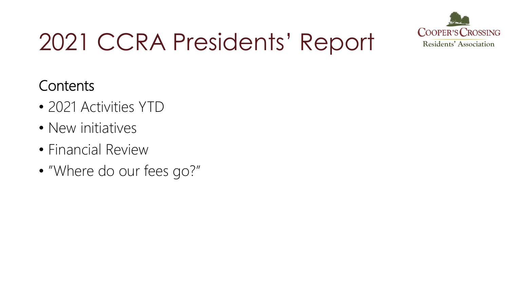

# 2021 CCRA Presidents' Report

#### **Contents**

- 2021 Activities YTD
- New initiatives
- Financial Review
- "Where do our fees go?"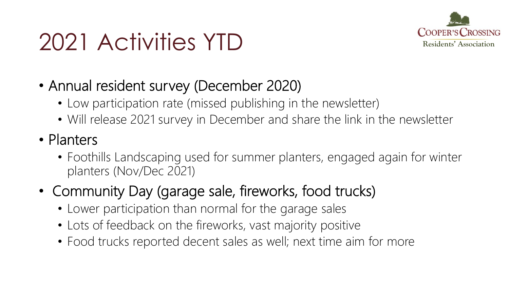# 2021 Activities YTD



- Annual resident survey (December 2020)
	- Low participation rate (missed publishing in the newsletter)
	- Will release 2021 survey in December and share the link in the newsletter
- Planters
	- Foothills Landscaping used for summer planters, engaged again for winter planters (Nov/Dec 2021)
- Community Day (garage sale, fireworks, food trucks)
	- Lower participation than normal for the garage sales
	- Lots of feedback on the fireworks, vast majority positive
	- Food trucks reported decent sales as well; next time aim for more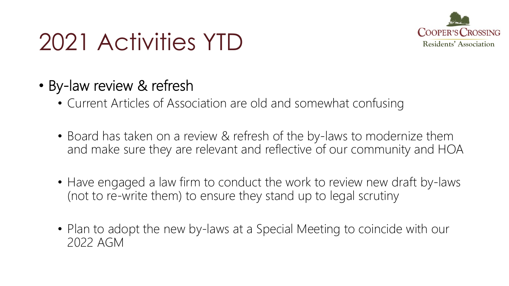

## 2021 Activities YTD

- By-law review & refresh
	- Current Articles of Association are old and somewhat confusing
	- Board has taken on a review & refresh of the by-laws to modernize them and make sure they are relevant and reflective of our community and HOA
	- Have engaged a law firm to conduct the work to review new draft by-laws (not to re-write them) to ensure they stand up to legal scrutiny
	- Plan to adopt the new by-laws at a Special Meeting to coincide with our 2022 AGM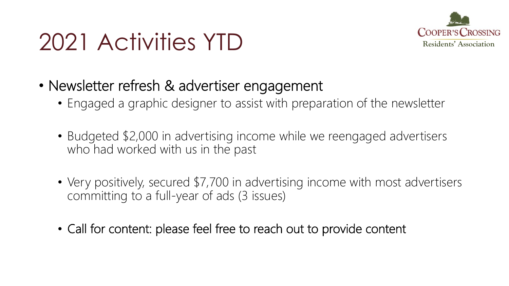### 2021 Activities YTD



- Newsletter refresh & advertiser engagement
	- Engaged a graphic designer to assist with preparation of the newsletter
	- Budgeted \$2,000 in advertising income while we reengaged advertisers who had worked with us in the past
	- Very positively, secured \$7,700 in advertising income with most advertisers committing to a full-year of ads (3 issues)
	- Call for content: please feel free to reach out to provide content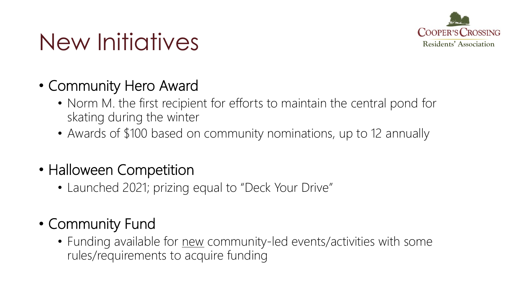

#### New Initiatives

- Community Hero Award
	- Norm M. the first recipient for efforts to maintain the central pond for skating during the winter
	- Awards of \$100 based on community nominations, up to 12 annually
- Halloween Competition
	- Launched 2021; prizing equal to "Deck Your Drive"
- Community Fund
	- Funding available for new community-led events/activities with some rules/requirements to acquire funding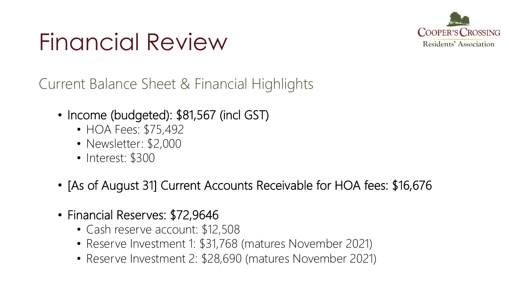

#### Financial Review

Current Balance Sheet & Financial Highlights

- Income (budgeted): \$81,567 (incl GST)
	- HOA Fees: \$75,492
	- Newsletter: \$2,000
	- Interest: \$300
- [As of August 31] Current Accounts Receivable for HOA fees: \$16,676
- Financial Reserves: \$72,9646
	- Cash reserve account: \$12,508
	- Reserve Investment 1: \$31,768 (matures November 2021)
	- Reserve Investment 2: \$28,690 (matures November 2021)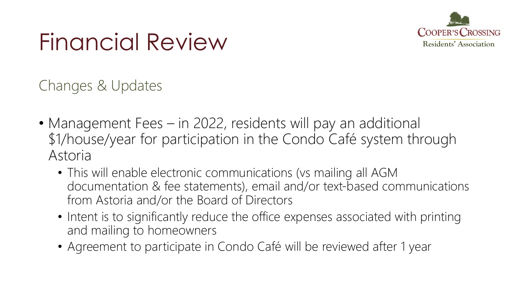

#### Financial Review

Changes & Updates

- Management Fees in 2022, residents will pay an additional \$1/house/year for participation in the Condo Café system through Astoria
	- This will enable electronic communications (vs mailing all AGM documentation & fee statements), email and/or text-based communications from Astoria and/or the Board of Directors
	- Intent is to significantly reduce the office expenses associated with printing and mailing to homeowners
	- Agreement to participate in Condo Café will be reviewed after 1 year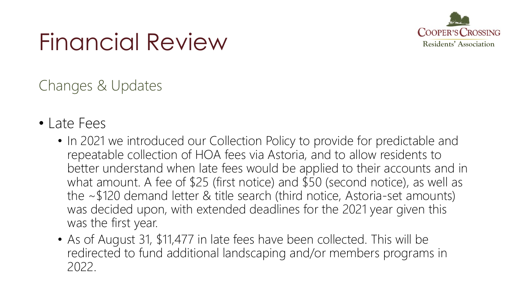

#### Financial Review

Changes & Updates

- Late Fees
	- In 2021 we introduced our Collection Policy to provide for predictable and repeatable collection of HOA fees via Astoria, and to allow residents to better understand when late fees would be applied to their accounts and in what amount. A fee of \$25 (first notice) and \$50 (second notice), as well as the ~\$120 demand letter & title search (third notice, Astoria-set amounts) was decided upon, with extended deadlines for the 2021 year given this was the first year.
	- As of August 31, \$11,477 in late fees have been collected. This will be redirected to fund additional landscaping and/or members programs in 2022.